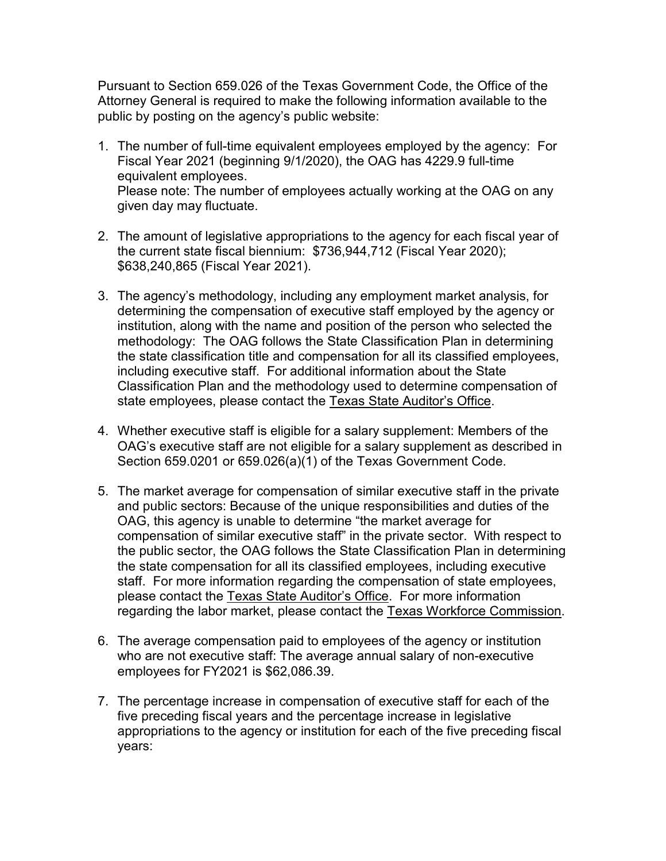Pursuant to Section 659.026 of the Texas Government Code, the Office of the Attorney General is required to make the following information available to the public by posting on the agency's public website:

- 1. The number of full-time equivalent employees employed by the agency: For Fiscal Year 2021 (beginning 9/1/2020), the OAG has 4229.9 full-time equivalent employees. Please note: The number of employees actually working at the OAG on any given day may fluctuate.
- 2. The amount of legislative appropriations to the agency for each fiscal year of the current state fiscal biennium: \$736,944,712 (Fiscal Year 2020); \$638,240,865 (Fiscal Year 2021).
- 3. The agency's methodology, including any employment market analysis, for determining the compensation of executive staff employed by the agency or institution, along with the name and position of the person who selected the methodology: The OAG follows the State Classification Plan in determining the state classification title and compensation for all its classified employees, including executive staff. For additional information about the State Classification Plan and the methodology used to determine compensation of state employees, please contact the Texas State Auditor's Office.
- 4. Whether executive staff is eligible for a salary supplement: Members of the OAG's executive staff are not eligible for a salary supplement as described in Section 659.0201 or 659.026(a)(1) of the Texas Government Code.
- 5. The market average for compensation of similar executive staff in the private and public sectors: Because of the unique responsibilities and duties of the OAG, this agency is unable to determine "the market average for compensation of similar executive staff" in the private sector. With respect to the public sector, the OAG follows the State Classification Plan in determining the state compensation for all its classified employees, including executive staff. For more information regarding the compensation of state employees, please contact the Texas State Auditor's Office. For more information regarding the labor market, please contact the Texas Workforce Commission.
- 6. The average compensation paid to employees of the agency or institution who are not executive staff: The average annual salary of non-executive employees for FY2021 is \$62,086.39.
- 7. The percentage increase in compensation of executive staff for each of the five preceding fiscal years and the percentage increase in legislative appropriations to the agency or institution for each of the five preceding fiscal years: